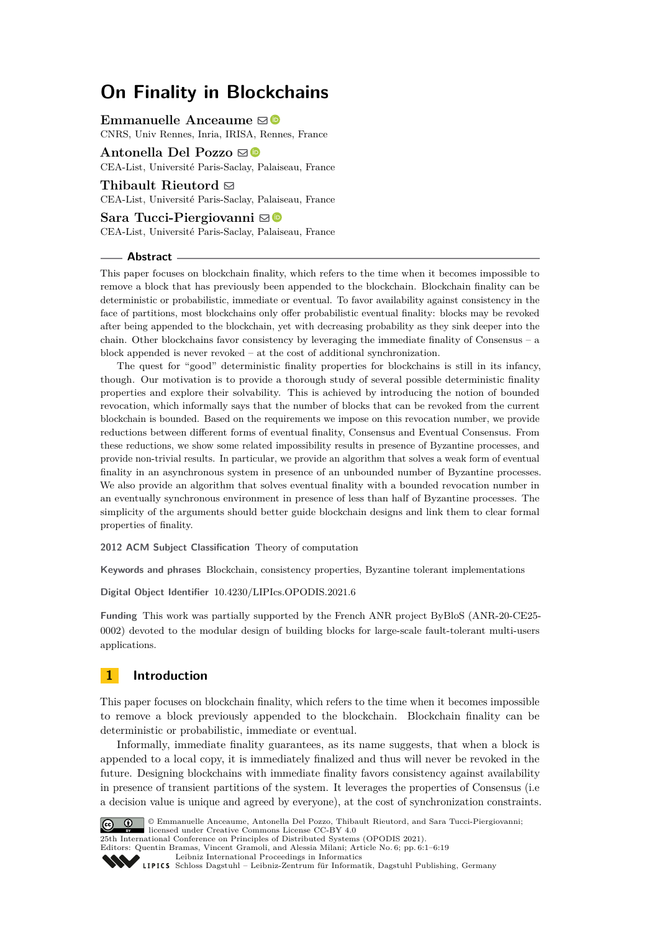# **On Finality in Blockchains**

**Emmanuelle Anceaume** ⊠<sup>®</sup>

CNRS, Univ Rennes, Inria, IRISA, Rennes, France

**Antonella Del Pozzo** [!](mailto:antonella.delpozzo@cea.fr)

CEA-List, Université Paris-Saclay, Palaiseau, France

## **Thibault Rieutord** [!](mailto:thibault.rieutord@cea.fr)

CEA-List, Université Paris-Saclay, Palaiseau, France

## Sara Tucci-Piergiovanni **⊠**

CEA-List, Université Paris-Saclay, Palaiseau, France

#### **Abstract**

This paper focuses on blockchain finality, which refers to the time when it becomes impossible to remove a block that has previously been appended to the blockchain. Blockchain finality can be deterministic or probabilistic, immediate or eventual. To favor availability against consistency in the face of partitions, most blockchains only offer probabilistic eventual finality: blocks may be revoked after being appended to the blockchain, yet with decreasing probability as they sink deeper into the chain. Other blockchains favor consistency by leveraging the immediate finality of Consensus – a block appended is never revoked – at the cost of additional synchronization.

The quest for "good" deterministic finality properties for blockchains is still in its infancy, though. Our motivation is to provide a thorough study of several possible deterministic finality properties and explore their solvability. This is achieved by introducing the notion of bounded revocation, which informally says that the number of blocks that can be revoked from the current blockchain is bounded. Based on the requirements we impose on this revocation number, we provide reductions between different forms of eventual finality, Consensus and Eventual Consensus. From these reductions, we show some related impossibility results in presence of Byzantine processes, and provide non-trivial results. In particular, we provide an algorithm that solves a weak form of eventual finality in an asynchronous system in presence of an unbounded number of Byzantine processes. We also provide an algorithm that solves eventual finality with a bounded revocation number in an eventually synchronous environment in presence of less than half of Byzantine processes. The simplicity of the arguments should better guide blockchain designs and link them to clear formal properties of finality.

**2012 ACM Subject Classification** Theory of computation

**Keywords and phrases** Blockchain, consistency properties, Byzantine tolerant implementations

**Digital Object Identifier** [10.4230/LIPIcs.OPODIS.2021.6](https://doi.org/10.4230/LIPIcs.OPODIS.2021.6)

**Funding** This work was partially supported by the French ANR project ByBloS (ANR-20-CE25- 0002) devoted to the modular design of building blocks for large-scale fault-tolerant multi-users applications.

# **1 Introduction**

This paper focuses on blockchain finality, which refers to the time when it becomes impossible to remove a block previously appended to the blockchain. Blockchain finality can be deterministic or probabilistic, immediate or eventual.

Informally, immediate finality guarantees, as its name suggests, that when a block is appended to a local copy, it is immediately finalized and thus will never be revoked in the future. Designing blockchains with immediate finality favors consistency against availability in presence of transient partitions of the system. It leverages the properties of Consensus (i.e a decision value is unique and agreed by everyone), at the cost of synchronization constraints.



© Emmanuelle Anceaume, Antonella Del Pozzo, Thibault Rieutord, and Sara Tucci-Piergiovanni; licensed under Creative Commons License CC-BY 4.0

25th International Conference on Principles of Distributed Systems (OPODIS 2021).

Editors: Quentin Bramas, Vincent Gramoli, and Alessia Milani; Article No. 6; pp. 6:1–6:19

[Leibniz International Proceedings in Informatics](https://www.dagstuhl.de/lipics/)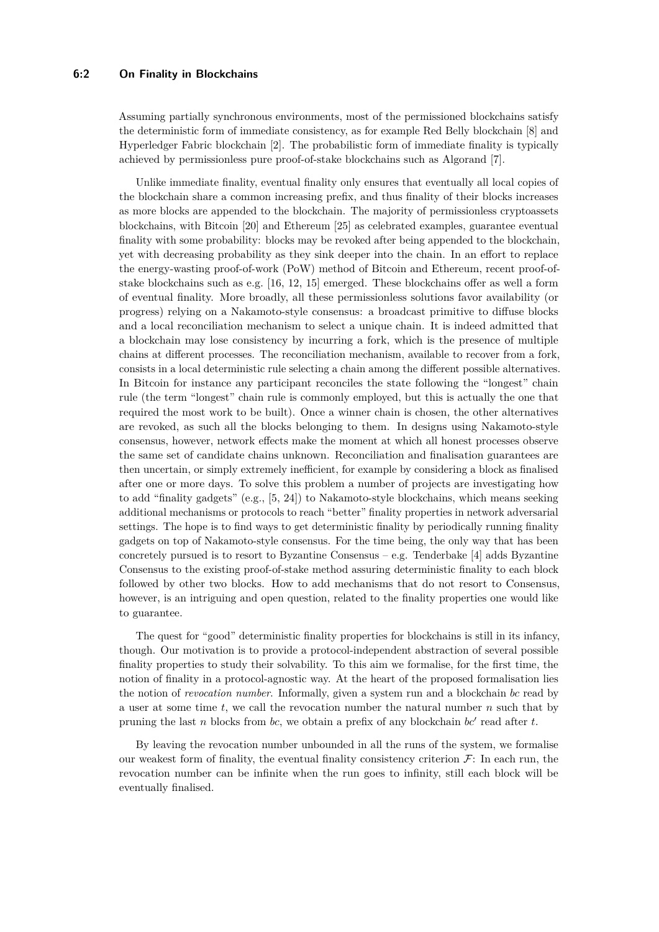## **6:2 On Finality in Blockchains**

Assuming partially synchronous environments, most of the permissioned blockchains satisfy the deterministic form of immediate consistency, as for example Red Belly blockchain [\[8\]](#page-15-0) and Hyperledger Fabric blockchain [\[2\]](#page-14-0). The probabilistic form of immediate finality is typically achieved by permissionless pure proof-of-stake blockchains such as Algorand [\[7\]](#page-15-1).

Unlike immediate finality, eventual finality only ensures that eventually all local copies of the blockchain share a common increasing prefix, and thus finality of their blocks increases as more blocks are appended to the blockchain. The majority of permissionless cryptoassets blockchains, with Bitcoin [\[20\]](#page-15-2) and Ethereum [\[25\]](#page-15-3) as celebrated examples, guarantee eventual finality with some probability: blocks may be revoked after being appended to the blockchain, yet with decreasing probability as they sink deeper into the chain. In an effort to replace the energy-wasting proof-of-work (PoW) method of Bitcoin and Ethereum, recent proof-ofstake blockchains such as e.g. [\[16,](#page-15-4) [12,](#page-15-5) [15\]](#page-15-6) emerged. These blockchains offer as well a form of eventual finality. More broadly, all these permissionless solutions favor availability (or progress) relying on a Nakamoto-style consensus: a broadcast primitive to diffuse blocks and a local reconciliation mechanism to select a unique chain. It is indeed admitted that a blockchain may lose consistency by incurring a fork, which is the presence of multiple chains at different processes. The reconciliation mechanism, available to recover from a fork, consists in a local deterministic rule selecting a chain among the different possible alternatives. In Bitcoin for instance any participant reconciles the state following the "longest" chain rule (the term "longest" chain rule is commonly employed, but this is actually the one that required the most work to be built). Once a winner chain is chosen, the other alternatives are revoked, as such all the blocks belonging to them. In designs using Nakamoto-style consensus, however, network effects make the moment at which all honest processes observe the same set of candidate chains unknown. Reconciliation and finalisation guarantees are then uncertain, or simply extremely inefficient, for example by considering a block as finalised after one or more days. To solve this problem a number of projects are investigating how to add "finality gadgets" (e.g., [\[5,](#page-15-7) [24\]](#page-15-8)) to Nakamoto-style blockchains, which means seeking additional mechanisms or protocols to reach "better" finality properties in network adversarial settings. The hope is to find ways to get deterministic finality by periodically running finality gadgets on top of Nakamoto-style consensus. For the time being, the only way that has been concretely pursued is to resort to Byzantine Consensus – e.g. Tenderbake  $[4]$  adds Byzantine Consensus to the existing proof-of-stake method assuring deterministic finality to each block followed by other two blocks. How to add mechanisms that do not resort to Consensus, however, is an intriguing and open question, related to the finality properties one would like to guarantee.

The quest for "good" deterministic finality properties for blockchains is still in its infancy, though. Our motivation is to provide a protocol-independent abstraction of several possible finality properties to study their solvability. To this aim we formalise, for the first time, the notion of finality in a protocol-agnostic way. At the heart of the proposed formalisation lies the notion of *revocation number*. Informally, given a system run and a blockchain *bc* read by a user at some time *t*, we call the revocation number the natural number *n* such that by pruning the last *n* blocks from *bc*, we obtain a prefix of any blockchain *bc*′ read after *t*.

By leaving the revocation number unbounded in all the runs of the system, we formalise our weakest form of finality, the eventual finality consistency criterion  $\mathcal{F}$ : In each run, the revocation number can be infinite when the run goes to infinity, still each block will be eventually finalised.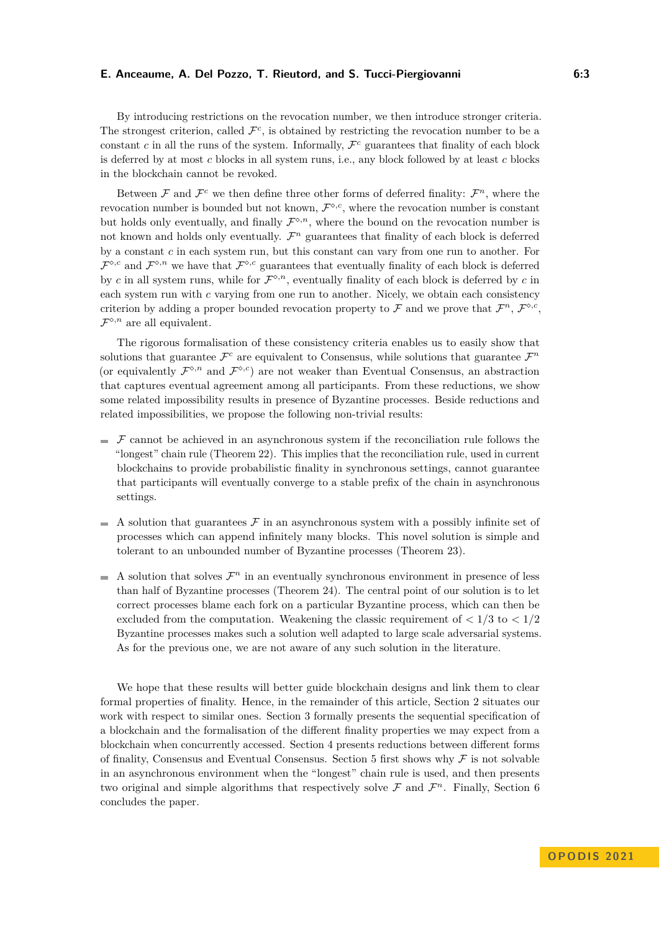By introducing restrictions on the revocation number, we then introduce stronger criteria. The strongest criterion, called  $\mathcal{F}^c$ , is obtained by restricting the revocation number to be a constant  $c$  in all the runs of the system. Informally,  $\mathcal{F}^c$  guarantees that finality of each block is deferred by at most *c* blocks in all system runs, i.e., any block followed by at least *c* blocks in the blockchain cannot be revoked.

Between  $\mathcal F$  and  $\mathcal F^c$  we then define three other forms of deferred finality:  $\mathcal F^n$ , where the revocation number is bounded but not known,  $\mathcal{F}^{\diamond,c}$ , where the revocation number is constant but holds only eventually, and finally  $\mathcal{F}^{\diamond,n}$ , where the bound on the revocation number is not known and holds only eventually.  $\mathcal{F}^n$  guarantees that finality of each block is deferred by a constant *c* in each system run, but this constant can vary from one run to another. For  $\mathcal{F}^{\diamond,c}$  and  $\mathcal{F}^{\diamond,n}$  we have that  $\mathcal{F}^{\diamond,c}$  guarantees that eventually finality of each block is deferred by *c* in all system runs, while for  $\mathcal{F}^{\diamond,n}$ , eventually finality of each block is deferred by *c* in each system run with *c* varying from one run to another. Nicely, we obtain each consistency criterion by adding a proper bounded revocation property to F and we prove that  $\mathcal{F}^n$ ,  $\mathcal{F}^{\diamond,c}$ ,  $\mathcal{F}^{\diamond,n}$  are all equivalent.

The rigorous formalisation of these consistency criteria enables us to easily show that solutions that guarantee  $\mathcal{F}^c$  are equivalent to Consensus, while solutions that guarantee  $\mathcal{F}^n$ (or equivalently  $\mathcal{F}^{\diamond,n}$  and  $\mathcal{F}^{\diamond,c}$ ) are not weaker than Eventual Consensus, an abstraction that captures eventual agreement among all participants. From these reductions, we show some related impossibility results in presence of Byzantine processes. Beside reductions and related impossibilities, we propose the following non-trivial results:

- $\mathcal F$  cannot be achieved in an asynchronous system if the reconciliation rule follows the "longest" chain rule (Theorem [22\)](#page-11-0). This implies that the reconciliation rule, used in current blockchains to provide probabilistic finality in synchronous settings, cannot guarantee that participants will eventually converge to a stable prefix of the chain in asynchronous settings.
- $\blacksquare$  A solution that guarantees  $\mathcal F$  in an asynchronous system with a possibly infinite set of processes which can append infinitely many blocks. This novel solution is simple and tolerant to an unbounded number of Byzantine processes (Theorem [23\)](#page-12-0).
- A solution that solves  $\mathcal{F}^n$  in an eventually synchronous environment in presence of less than half of Byzantine processes (Theorem [24\)](#page-14-1). The central point of our solution is to let correct processes blame each fork on a particular Byzantine process, which can then be excluded from the computation. Weakening the classic requirement of  $\langle 1/3 \rangle$  to  $\langle 1/2 \rangle$ Byzantine processes makes such a solution well adapted to large scale adversarial systems. As for the previous one, we are not aware of any such solution in the literature.

We hope that these results will better guide blockchain designs and link them to clear formal properties of finality. Hence, in the remainder of this article, Section [2](#page-3-0) situates our work with respect to similar ones. Section [3](#page-3-1) formally presents the sequential specification of a blockchain and the formalisation of the different finality properties we may expect from a blockchain when concurrently accessed. Section [4](#page-9-0) presents reductions between different forms of finality, Consensus and Eventual Consensus. Section [5](#page-10-0) first shows why  $\mathcal F$  is not solvable in an asynchronous environment when the "longest" chain rule is used, and then presents two original and simple algorithms that respectively solve  $\mathcal F$  and  $\mathcal F^n$ . Finally, Section [6](#page-14-2) concludes the paper.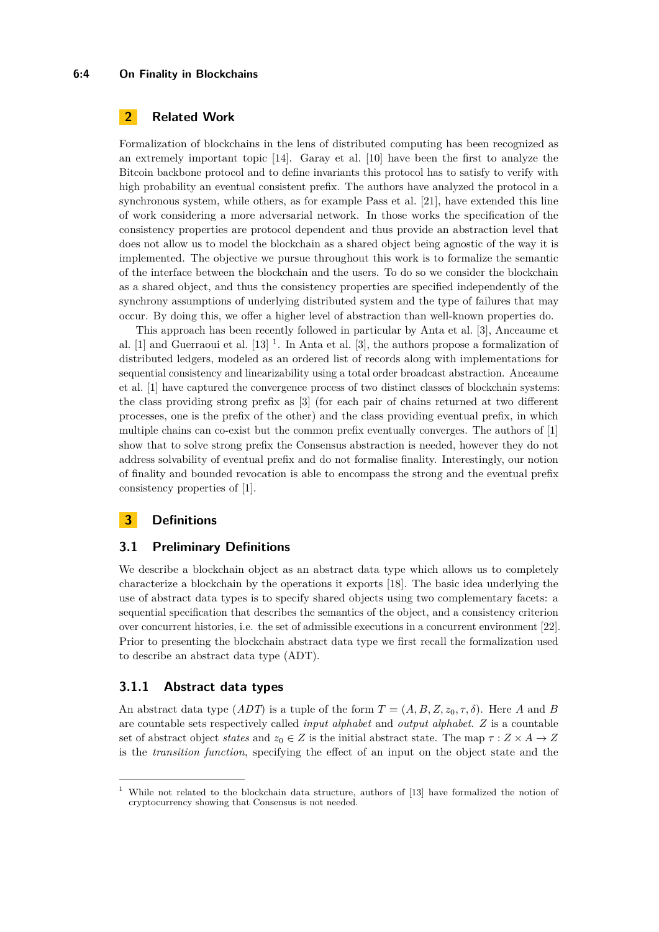#### **6:4 On Finality in Blockchains**

# <span id="page-3-0"></span>**2 Related Work**

Formalization of blockchains in the lens of distributed computing has been recognized as an extremely important topic [\[14\]](#page-15-10). Garay et al. [\[10\]](#page-15-11) have been the first to analyze the Bitcoin backbone protocol and to define invariants this protocol has to satisfy to verify with high probability an eventual consistent prefix. The authors have analyzed the protocol in a synchronous system, while others, as for example Pass et al. [\[21\]](#page-15-12), have extended this line of work considering a more adversarial network. In those works the specification of the consistency properties are protocol dependent and thus provide an abstraction level that does not allow us to model the blockchain as a shared object being agnostic of the way it is implemented. The objective we pursue throughout this work is to formalize the semantic of the interface between the blockchain and the users. To do so we consider the blockchain as a shared object, and thus the consistency properties are specified independently of the synchrony assumptions of underlying distributed system and the type of failures that may occur. By doing this, we offer a higher level of abstraction than well-known properties do.

This approach has been recently followed in particular by Anta et al. [\[3\]](#page-15-13), Anceaume et al. [\[1\]](#page-14-3) and Guerraoui et al. [\[13\]](#page-15-14) [1](#page-3-2) . In Anta et al. [\[3\]](#page-15-13), the authors propose a formalization of distributed ledgers, modeled as an ordered list of records along with implementations for sequential consistency and linearizability using a total order broadcast abstraction. Anceaume et al. [\[1\]](#page-14-3) have captured the convergence process of two distinct classes of blockchain systems: the class providing strong prefix as [\[3\]](#page-15-13) (for each pair of chains returned at two different processes, one is the prefix of the other) and the class providing eventual prefix, in which multiple chains can co-exist but the common prefix eventually converges. The authors of [\[1\]](#page-14-3) show that to solve strong prefix the Consensus abstraction is needed, however they do not address solvability of eventual prefix and do not formalise finality. Interestingly, our notion of finality and bounded revocation is able to encompass the strong and the eventual prefix consistency properties of [\[1\]](#page-14-3).

## <span id="page-3-1"></span>**3 Definitions**

## **3.1 Preliminary Definitions**

We describe a blockchain object as an abstract data type which allows us to completely characterize a blockchain by the operations it exports [\[18\]](#page-15-15). The basic idea underlying the use of abstract data types is to specify shared objects using two complementary facets: a sequential specification that describes the semantics of the object, and a consistency criterion over concurrent histories, i.e. the set of admissible executions in a concurrent environment [\[22\]](#page-15-16). Prior to presenting the blockchain abstract data type we first recall the formalization used to describe an abstract data type (ADT).

## **3.1.1 Abstract data types**

An abstract data type  $(ADT)$  is a tuple of the form  $T = (A, B, Z, z_0, \tau, \delta)$ . Here A and B are countable sets respectively called *input alphabet* and *output alphabet*. *Z* is a countable set of abstract object *states* and  $z_0 \in Z$  is the initial abstract state. The map  $\tau : Z \times A \rightarrow Z$ is the *transition function*, specifying the effect of an input on the object state and the

<span id="page-3-2"></span><sup>&</sup>lt;sup>1</sup> While not related to the blockchain data structure, authors of [\[13\]](#page-15-14) have formalized the notion of cryptocurrency showing that Consensus is not needed.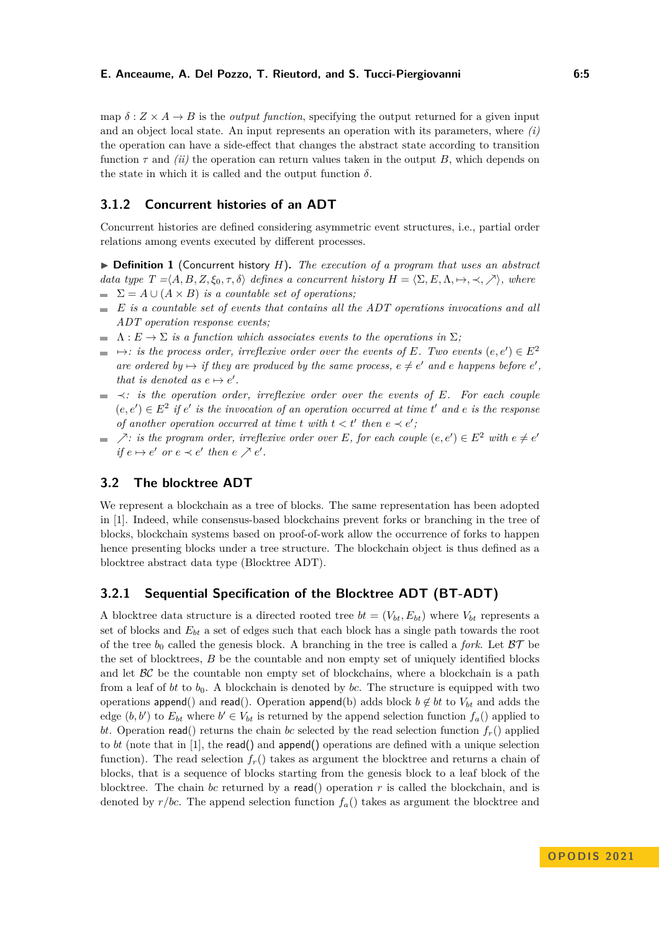map  $\delta: Z \times A \rightarrow B$  is the *output function*, specifying the output returned for a given input and an object local state. An input represents an operation with its parameters, where *(i)* the operation can have a side-effect that changes the abstract state according to transition function  $\tau$  and *(ii)* the operation can return values taken in the output *B*, which depends on the state in which it is called and the output function  $\delta$ .

## **3.1.2 Concurrent histories of an ADT**

Concurrent histories are defined considering asymmetric event structures, i.e., partial order relations among events executed by different processes.

▶ **Definition 1** (Concurrent history *H*)**.** *The execution of a program that uses an abstract data type*  $T = \langle A, B, Z, \xi_0, \tau, \delta \rangle$  *defines a concurrent history*  $H = \langle \Sigma, E, \Lambda, \mapsto, \prec, \nearrow \rangle$ *, where*  $\sum$  =  $A \cup (A \times B)$  *is a countable set of operations;* 

- *E is a countable set of events that contains all the ADT operations invocations and all ADT operation response events;*
- $\blacksquare$   $\Lambda: E \to \Sigma$  *is a function which associates events to the operations in*  $\Sigma$ *;*
- $\rightarrow$ *: is the process order, irreflexive order over the events of E. Two events*  $(e, e') \in E^2$ *are ordered by*  $\mapsto$  *if they are produced by the same process,*  $e \neq e'$  *and e happens before*  $e'$ *, that is denoted as*  $e \mapsto e'$ *.*
- ≺*: is the operation order, irreflexive order over the events of E. For each couple*  $(e, e') \in E^2$  *if*  $e'$  *is the invocation of an operation occurred at time*  $t'$  *and*  $e$  *is the response of another operation occurred at time t with*  $t < t'$  *then*  $e \prec e'$ *,*
- $\geq$  *is the program order, irreflexive order over E*, for each couple  $(e, e') \in E^2$  with  $e \neq e'$ *if*  $e \mapsto e'$  *or*  $e \prec e'$  *then*  $e \nearrow e'$ *.*

# **3.2 The blocktree ADT**

We represent a blockchain as a tree of blocks. The same representation has been adopted in [\[1\]](#page-14-3). Indeed, while consensus-based blockchains prevent forks or branching in the tree of blocks, blockchain systems based on proof-of-work allow the occurrence of forks to happen hence presenting blocks under a tree structure. The blockchain object is thus defined as a blocktree abstract data type (Blocktree ADT).

## **3.2.1 Sequential Specification of the Blocktree ADT (BT-ADT)**

A blocktree data structure is a directed rooted tree  $bt = (V_{bt}, E_{bt})$  where  $V_{bt}$  represents a set of blocks and *Ebt* a set of edges such that each block has a single path towards the root of the tree  $b_0$  called the genesis block. A branching in the tree is called a *fork*. Let  $\beta\mathcal{T}$  be the set of blocktrees, *B* be the countable and non empty set of uniquely identified blocks and let  $\beta \mathcal{C}$  be the countable non empty set of blockchains, where a blockchain is a path from a leaf of *bt* to  $b_0$ . A blockchain is denoted by *bc*. The structure is equipped with two operations append() and read(). Operation append(b) adds block  $b \notin bt$  to  $V_{bt}$  and adds the edge  $(b, b')$  to  $E_{bt}$  where  $b' \in V_{bt}$  is returned by the append selection function  $f_a()$  applied to *bt*. Operation read() returns the chain *bc* selected by the read selection function  $f_r$ () applied to *bt* (note that in [\[1\]](#page-14-3), the read() and append() operations are defined with a unique selection function). The read selection  $f_r()$  takes as argument the blocktree and returns a chain of blocks, that is a sequence of blocks starting from the genesis block to a leaf block of the blocktree. The chain *bc* returned by a read() operation *r* is called the blockchain, and is denoted by  $r/bc$ . The append selection function  $f_a()$  takes as argument the blocktree and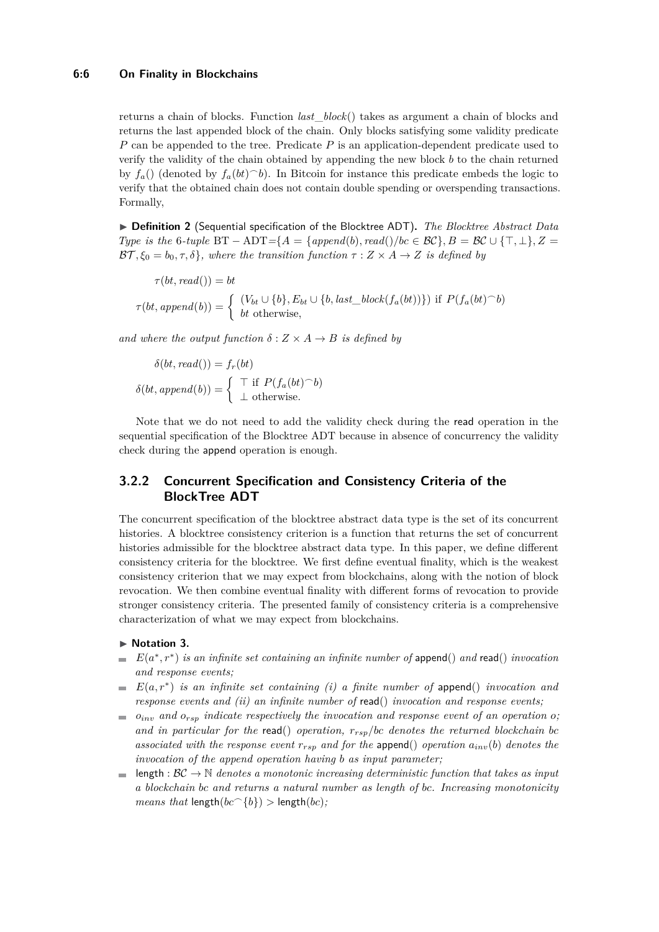## **6:6 On Finality in Blockchains**

returns a chain of blocks. Function *last*\_*block*() takes as argument a chain of blocks and returns the last appended block of the chain. Only blocks satisfying some validity predicate *P* can be appended to the tree. Predicate *P* is an application-dependent predicate used to verify the validity of the chain obtained by appending the new block *b* to the chain returned by  $f_a()$  (denoted by  $f_a(bt)^\frown b$ ). In Bitcoin for instance this predicate embeds the logic to verify that the obtained chain does not contain double spending or overspending transactions. Formally,

▶ **Definition 2** (Sequential specification of the Blocktree ADT)**.** *The Blocktree Abstract Data Type is the* 6*-tuple* BT – ADT={ $A = \{append(b), read(\prime\}/bc \in BC\}$ } $B = BC \cup \{\top, \bot\}$ } $Z =$  $BT, \xi_0 = b_0, \tau, \delta$ , where the transition function  $\tau : Z \times A \rightarrow Z$  is defined by

 $\tau(bt, read()) = bt$  $\tau(bt, append(b)) = \begin{cases} (V_{bt} \cup \{b\}, E_{bt} \cup \{b, last\_block(f_a(bt))\}) \text{ if } P(f_a(bt)^{-}b) \end{cases}$ *bt* otherwise*,*

*and where the output function*  $\delta$  :  $Z \times A \rightarrow B$  *is defined by* 

$$
\delta(bt, read()) = f_r(bt)
$$

$$
\delta(bt, append(b)) = \begin{cases} \top \text{ if } P(f_a(bt) \cap b) \\ \bot \text{ otherwise.} \end{cases}
$$

Note that we do not need to add the validity check during the read operation in the sequential specification of the Blocktree ADT because in absence of concurrency the validity check during the append operation is enough.

# <span id="page-5-0"></span>**3.2.2 Concurrent Specification and Consistency Criteria of the BlockTree ADT**

The concurrent specification of the blocktree abstract data type is the set of its concurrent histories. A blocktree consistency criterion is a function that returns the set of concurrent histories admissible for the blocktree abstract data type. In this paper, we define different consistency criteria for the blocktree. We first define eventual finality, which is the weakest consistency criterion that we may expect from blockchains, along with the notion of block revocation. We then combine eventual finality with different forms of revocation to provide stronger consistency criteria. The presented family of consistency criteria is a comprehensive characterization of what we may expect from blockchains.

#### ▶ **Notation 3.**

- $E(a^*, r^*)$  *is an infinite set containing an infinite number of* append() *and* read() *invocation and response events;*
- *E*(*a, r*<sup>∗</sup> ) *is an infinite set containing (i) a finite number of* append() *invocation and response events and (ii) an infinite number of* read() *invocation and response events;*
- $\bullet$  *o*<sub>*inv</sub>* and  $o_{rsp}$  *indicate respectively the invocation and response event of an operation o*;</sub> *and in particular for the* read() *operation, rrsp/bc denotes the returned blockchain bc associated with the response event*  $r_{rsp}$  *and for the append() operation*  $a_{inv}(b)$  *denotes the invocation of the append operation having b as input parameter;*
- length :  $BC \rightarrow \mathbb{N}$  *denotes a monotonic increasing deterministic function that takes as input a blockchain bc and returns a natural number as length of bc. Increasing monotonicity means that* length( $bc$ <sup> $\cap$ </sup>{ $b$ }) > length( $bc$ )*;*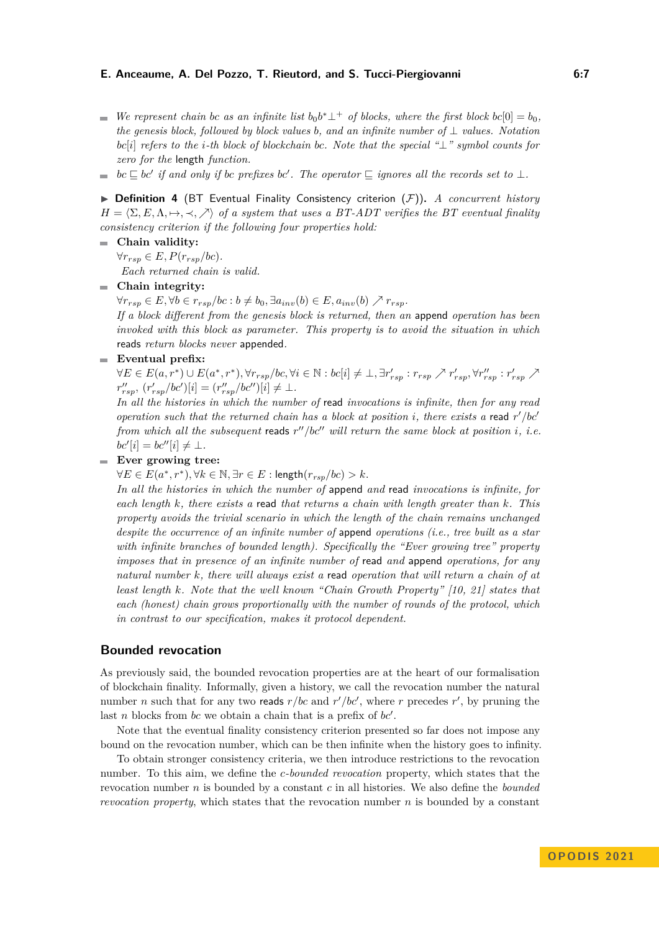- *We represent chain bc as an infinite list*  $b_0 b^* \perp^+$  *of blocks, where the first block*  $bc[0] = b_0$ *, the genesis block, followed by block values b, and an infinite number of* ⊥ *values. Notation bc*[*i*] *refers to the i-th block of blockchain bc. Note that the special "*⊥*" symbol counts for zero for the* length *function.*
- $bc \sqsubseteq bc'$  *if and only if bc prefixes bc'. The operator*  $\sqsubseteq$  *ignores all the records set to* ⊥*.*

▶ **Definition 4** (BT Eventual Finality Consistency criterion (F))**.** *A concurrent history*  $H = \langle \Sigma, E, \Lambda, \mapsto, \prec, \nearrow \rangle$  of a system that uses a BT-ADT verifies the BT eventual finality *consistency criterion if the following four properties hold:*

## **Chain validity:**

 $∀r_{rsp} ∈ E, P(r_{rsp}/bc).$ *Each returned chain is valid.*

## **Chain integrity:**

 $\forall r_{rsp} \in E, \forall b \in r_{rsp}/bc : b \neq b_0, \exists a_{inv}(b) \in E, a_{inv}(b) \nearrow r_{rsp}.$ 

*If a block different from the genesis block is returned, then an* append *operation has been invoked with this block as parameter. This property is to avoid the situation in which* reads *return blocks never* appended*.*

## **Eventual prefix:**

 $\forall E \in E(a, r^*) \cup E(a^*, r^*), \forall r_{rsp}/bc, \forall i \in \mathbb{N}: bc[i] \neq \bot, \exists r'_{rsp}: r_{rsp} \nearrow r'_{rsp}, \forall r''_{rsp}: r'_{rsp} \nearrow$  $r''_{rsp}$ ,  $(r'_{rsp}/bc')[i] = (r''_{rsp}/bc'')[i] \neq \perp$ .

*In all the histories in which the number of* read *invocations is infinite, then for any read operation such that the returned chain has a block at position i, there exists a* read *r* ′*/bc*′ *from which all the subsequent* reads *r* ′′*/bc*′′ *will return the same block at position i, i.e.*  $bc'[i] = bc''[i] \neq \bot.$ 

## **Ever growing tree:**

 $\forall E \in E(a^*, r^*), \forall k \in \mathbb{N}, \exists r \in E : \text{length}(r_{rsp}/bc) > k.$ 

*In all the histories in which the number of* append *and* read *invocations is infinite, for each length k, there exists a* read *that returns a chain with length greater than k. This property avoids the trivial scenario in which the length of the chain remains unchanged despite the occurrence of an infinite number of* append *operations (i.e., tree built as a star with infinite branches of bounded length). Specifically the "Ever growing tree" property imposes that in presence of an infinite number of* read *and* append *operations, for any natural number k, there will always exist a* read *operation that will return a chain of at least length k. Note that the well known "Chain Growth Property" [\[10,](#page-15-11) [21\]](#page-15-12) states that each (honest) chain grows proportionally with the number of rounds of the protocol, which in contrast to our specification, makes it protocol dependent.*

## **Bounded revocation**

As previously said, the bounded revocation properties are at the heart of our formalisation of blockchain finality. Informally, given a history, we call the revocation number the natural number *n* such that for any two reads  $r/bc$  and  $r'/bc'$ , where *r* precedes *r'*, by pruning the last *n* blocks from *bc* we obtain a chain that is a prefix of *bc*′ .

Note that the eventual finality consistency criterion presented so far does not impose any bound on the revocation number, which can be then infinite when the history goes to infinity.

To obtain stronger consistency criteria, we then introduce restrictions to the revocation number. To this aim, we define the *c-bounded revocation* property, which states that the revocation number *n* is bounded by a constant *c* in all histories. We also define the *bounded revocation property*, which states that the revocation number *n* is bounded by a constant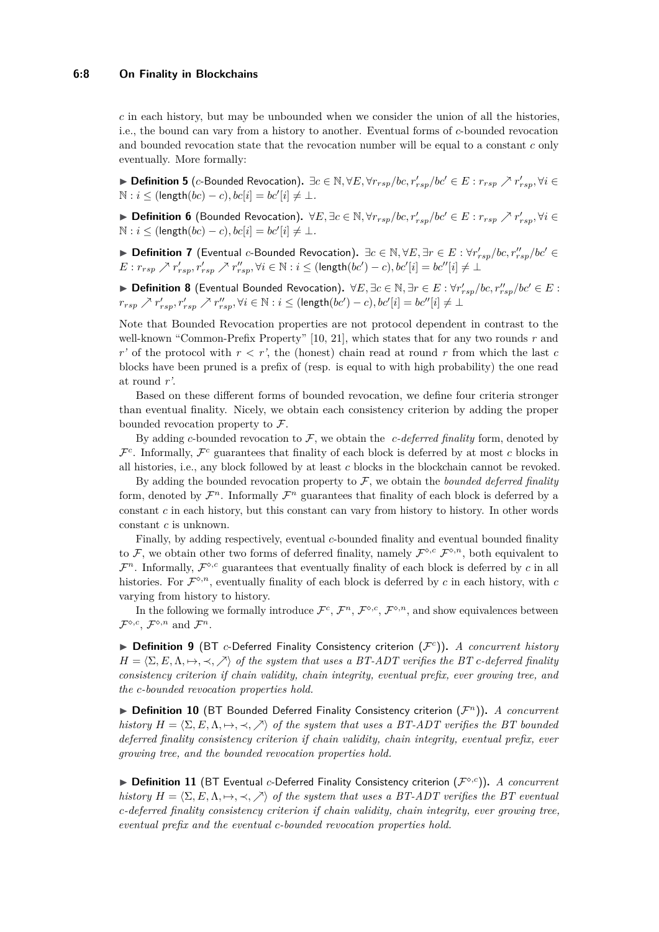#### **6:8 On Finality in Blockchains**

*c* in each history, but may be unbounded when we consider the union of all the histories, i.e., the bound can vary from a history to another. Eventual forms of *c*-bounded revocation and bounded revocation state that the revocation number will be equal to a constant *c* only eventually. More formally:

▶ **Definition 5** (*c*-Bounded Revocation)**.** ∃*c* ∈ N*,* ∀*E,* ∀*rrsp/bc, r*′ *rsp/bc*′ ∈ *E* : *rrsp* ↗ *r* ′ *rsp,* ∀*i* ∈  $N : i \leq (length(bc) - c), bc[i] = bc'[i] \neq \bot.$ 

▶ **Definition 6** (Bounded Revocation)**.** ∀*E,* ∃*c* ∈ N*,* ∀*rrsp/bc, r*′ *rsp/bc*′ ∈ *E* : *rrsp* ↗ *r* ′ *rsp,* ∀*i* ∈  $N : i \leq (length(bc) - c), bc[i] = bc'[i] \neq \bot.$ 

▶ **Definition 7** (Eventual *c*-Bounded Revocation)**.** ∃*c* ∈ N*,* ∀*E,* ∃*r* ∈ *E* : ∀*r* ′ *rsp/bc, r*′′ *rsp/bc*′ ∈  $E: r_{rsp} \nearrow r'_{rsp}, r'_{rsp} \nearrow r''_{rsp}, \forall i \in \mathbb{N}: i \leq (\text{length}(bc')-c), bc'[i] = bc''[i] \neq \bot$ 

▶  $\blacktriangleright$   $\blacktriangleright$   $\blacktriangleleft$   $\blacktriangleleft$   $\blacktriangleleft$   $\blacktriangleleft$   $\blacktriangleleft$   $\blacktriangleleft$   $\blacktriangleleft$   $\blacktriangleleft$   $\blacktriangleleft$   $\blacktriangleleft$   $\blacktriangleleft$   $\blacktriangleleft$   $\blacktriangleleft$   $\blacktriangleleft$   $\blacktriangleleft$   $\blacktriangleleft$   $\blacktriangleleft$   $\blacktriangleleft$   $\blacktriangleleft$   $\blacktriangleleft$   $\blacktriangleleft$   $\blacktriangleleft$   $\blacktriangleleft$   $\blacktriangleleft$   $\blacktriangleleft$   $\blacktriangleleft$   $\blacktriangleleft$   $\blacktriangleleft$   $\blacktriangleleft$  $r_{rsp} \nearrow r'_{rsp}, r'_{rsp} \nearrow r''_{rsp}, \forall i \in \mathbb{N}: i \leq (\text{length}(bc')-c), bc'[i] = bc''[i] \neq \bot$ 

Note that Bounded Revocation properties are not protocol dependent in contrast to the well-known "Common-Prefix Property" [\[10,](#page-15-11) [21\]](#page-15-12), which states that for any two rounds *r* and  $r'$  of the protocol with  $r < r'$ , the (honest) chain read at round  $r$  from which the last  $c$ blocks have been pruned is a prefix of (resp. is equal to with high probability) the one read at round *r'*.

Based on these different forms of bounded revocation, we define four criteria stronger than eventual finality. Nicely, we obtain each consistency criterion by adding the proper bounded revocation property to  $\mathcal{F}$ .

By adding *c*-bounded revocation to  $\mathcal{F}$ , we obtain the *c*-deferred finality form, denoted by  $\mathcal{F}^c$ . Informally,  $\mathcal{F}^c$  guarantees that finality of each block is deferred by at most *c* blocks in all histories, i.e., any block followed by at least *c* blocks in the blockchain cannot be revoked.

By adding the bounded revocation property to F, we obtain the *bounded deferred finality* form, denoted by  $\mathcal{F}^n$ . Informally  $\mathcal{F}^n$  guarantees that finality of each block is deferred by a constant *c* in each history, but this constant can vary from history to history. In other words constant *c* is unknown.

Finally, by adding respectively, eventual *c*-bounded finality and eventual bounded finality to F, we obtain other two forms of deferred finality, namely  $\mathcal{F}^{\diamond,c}$   $\mathcal{F}^{\diamond,n}$ , both equivalent to  $\mathcal{F}^n$ . Informally,  $\mathcal{F}^{\diamond,c}$  guarantees that eventually finality of each block is deferred by *c* in all histories. For  $\mathcal{F}^{\diamond,n}$ , eventually finality of each block is deferred by  $c$  in each history, with  $c$ varying from history to history.

In the following we formally introduce  $\mathcal{F}^c$ ,  $\mathcal{F}^n$ ,  $\mathcal{F}^{\diamond,c}$ ,  $\mathcal{F}^{\diamond,n}$ , and show equivalences between  $\mathcal{F}^{\diamond,c}, \, \mathcal{F}^{\diamond,n}$  and  $\mathcal{F}^n$ .

▶ Definition 9 (BT *c*-Deferred Finality Consistency criterion ( $\mathcal{F}^c$ )). *A concurrent history*  $H = \langle \Sigma, E, \Lambda, \mapsto, \prec, \nearrow \rangle$  of the system that uses a BT-ADT verifies the BT *c*-deferred finality *consistency criterion if chain validity, chain integrity, eventual prefix, ever growing tree, and the c-bounded revocation properties hold.*

▶ Definition 10 (BT Bounded Deferred Finality Consistency criterion  $(\mathcal{F}^n)$ ). *A concurrent history*  $H = \langle \Sigma, E, \Lambda, \rightarrow, \prec, \nearrow \rangle$  *of the system that uses a BT-ADT verifies the BT bounded deferred finality consistency criterion if chain validity, chain integrity, eventual prefix, ever growing tree, and the bounded revocation properties hold.*

▶ Definition 11 (BT Eventual *c*-Deferred Finality Consistency criterion ( $\mathcal{F}^{\diamond,c}$ )). *A concurrent history*  $H = \langle \Sigma, E, \Lambda, \rightarrow, \prec, \nearrow \rangle$  *of the system that uses a BT-ADT verifies the BT eventual c-deferred finality consistency criterion if chain validity, chain integrity, ever growing tree, eventual prefix and the eventual c-bounded revocation properties hold.*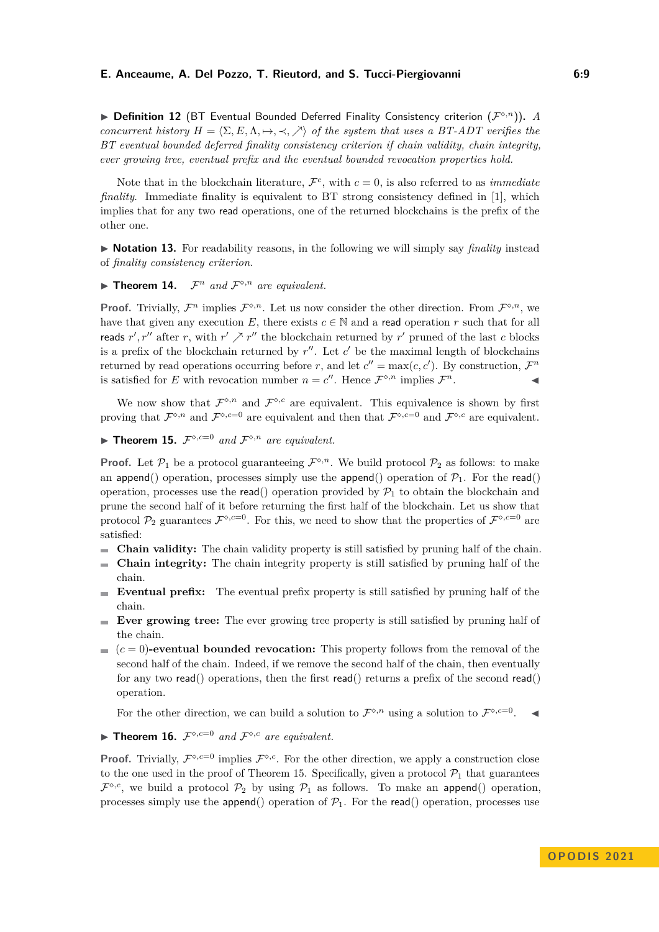▶ Definition 12 (BT Eventual Bounded Deferred Finality Consistency criterion  $(F^{\diamond,n})$ ). *A concurrent history*  $H = \langle \Sigma, E, \Lambda, \mapsto, \prec, \nearrow \rangle$  *of the system that uses a BT-ADT verifies the BT eventual bounded deferred finality consistency criterion if chain validity, chain integrity, ever growing tree, eventual prefix and the eventual bounded revocation properties hold.*

Note that in the blockchain literature,  $\mathcal{F}^c$ , with  $c = 0$ , is also referred to as *immediate finality*. Immediate finality is equivalent to BT strong consistency defined in [\[1\]](#page-14-3), which implies that for any two read operations, one of the returned blockchains is the prefix of the other one.

▶ **Notation 13.** For readability reasons, in the following we will simply say *finality* instead of *finality consistency criterion*.

<span id="page-8-1"></span> $\blacktriangleright$  **Theorem 14.**  $\mathcal{F}^n$  *and*  $\mathcal{F}^{\diamond,n}$  *are equivalent.* 

**Proof.** Trivially,  $\mathcal{F}^n$  implies  $\mathcal{F}^{\diamond,n}$ . Let us now consider the other direction. From  $\mathcal{F}^{\diamond,n}$ , we have that given any execution *E*, there exists  $c \in \mathbb{N}$  and a read operation *r* such that for all reads  $r'$ ,  $r''$  after *r*, with  $r' \nearrow r''$  the blockchain returned by  $r'$  pruned of the last *c* blocks is a prefix of the blockchain returned by  $r''$ . Let  $c'$  be the maximal length of blockchains returned by read operations occurring before *r*, and let  $c'' = \max(c, c')$ . By construction,  $\mathcal{F}^n$ is satisfied for *E* with revocation number  $n = c''$ . Hence  $\mathcal{F}^{\diamond,n}$  implies  $\mathcal{F}$  $n$ .

We now show that  $\mathcal{F}^{\diamond,n}$  and  $\mathcal{F}^{\diamond,c}$  are equivalent. This equivalence is shown by first proving that  $\mathcal{F}^{\diamond,n}$  and  $\mathcal{F}^{\diamond,c=0}$  are equivalent and then that  $\mathcal{F}^{\diamond,c=0}$  and  $\mathcal{F}^{\diamond,c}$  are equivalent.

<span id="page-8-0"></span> $\blacktriangleright$  **Theorem 15.**  $\mathcal{F}^{\diamond,c=0}$  *and*  $\mathcal{F}^{\diamond,n}$  *are equivalent.* 

**Proof.** Let  $\mathcal{P}_1$  be a protocol guaranteeing  $\mathcal{F}^{\diamond,n}$ . We build protocol  $\mathcal{P}_2$  as follows: to make an append() operation, processes simply use the append() operation of  $\mathcal{P}_1$ . For the read() operation, processes use the read() operation provided by  $\mathcal{P}_1$  to obtain the blockchain and prune the second half of it before returning the first half of the blockchain. Let us show that protocol  $\mathcal{P}_2$  guarantees  $\mathcal{F}^{\diamond,c=0}$ . For this, we need to show that the properties of  $\mathcal{F}^{\diamond,c=0}$  are satisfied:

- m. **Chain validity:** The chain validity property is still satisfied by pruning half of the chain.
- **Chain integrity:** The chain integrity property is still satisfied by pruning half of the chain.
- **Eventual prefix:** The eventual prefix property is still satisfied by pruning half of the chain.
- **Ever growing tree:** The ever growing tree property is still satisfied by pruning half of the chain.
- $(c=0)$ -eventual bounded revocation: This property follows from the removal of the second half of the chain. Indeed, if we remove the second half of the chain, then eventually for any two read() operations, then the first read() returns a prefix of the second read() operation.

For the other direction, we can build a solution to  $\mathcal{F}^{\diamond,n}$  using a solution to  $\mathcal{F}^{\diamond,c=0}$ .

<span id="page-8-2"></span>**• Theorem 16.**  $\mathcal{F}^{\diamond,c=0}$  and  $\mathcal{F}^{\diamond,c}$  are equivalent.

**Proof.** Trivially,  $\mathcal{F}^{\diamond,c=0}$  implies  $\mathcal{F}^{\diamond,c}$ . For the other direction, we apply a construction close to the one used in the proof of Theorem [15.](#page-8-0) Specifically, given a protocol  $\mathcal{P}_1$  that guarantees  $\mathcal{F}^{\diamond,c}$ , we build a protocol  $\mathcal{P}_2$  by using  $\mathcal{P}_1$  as follows. To make an append() operation, processes simply use the append() operation of  $\mathcal{P}_1$ . For the read() operation, processes use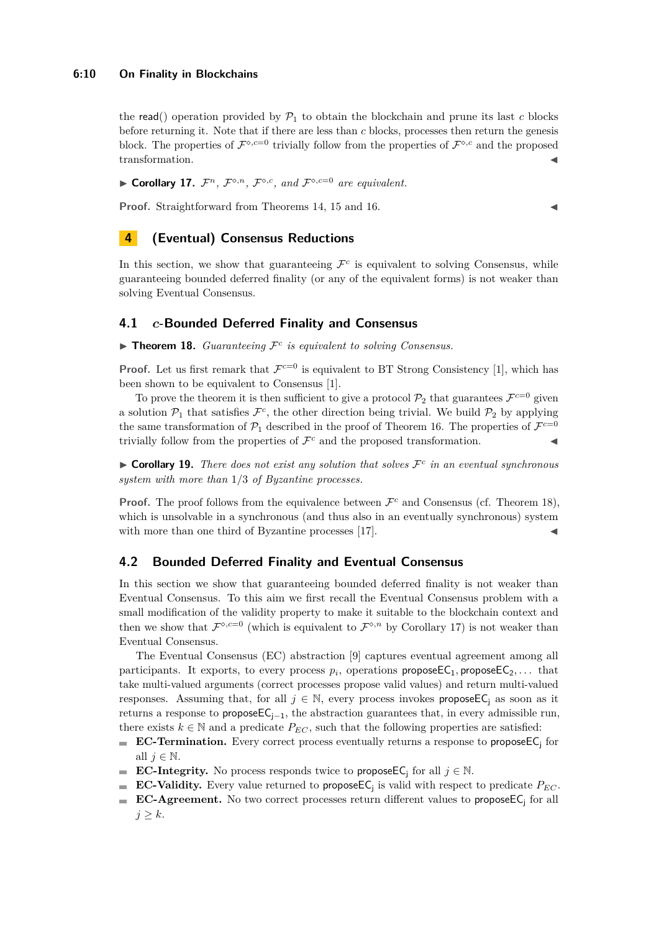## **6:10 On Finality in Blockchains**

the read() operation provided by  $\mathcal{P}_1$  to obtain the blockchain and prune its last *c* blocks before returning it. Note that if there are less than *c* blocks, processes then return the genesis block. The properties of  $\mathcal{F}^{\diamond,c=0}$  trivially follow from the properties of  $\mathcal{F}^{\diamond,c}$  and the proposed transformation.

<span id="page-9-2"></span>▶ **Corollary 17.**  $\mathcal{F}^n$ ,  $\mathcal{F}^{\diamond,n}$ ,  $\mathcal{F}^{\diamond,c}$ , and  $\mathcal{F}^{\diamond,c=0}$  are equivalent.

**Proof.** Straightforward from Theorems [14,](#page-8-1) [15](#page-8-0) and [16.](#page-8-2)

# <span id="page-9-0"></span>**4 (Eventual) Consensus Reductions**

In this section, we show that guaranteeing  $\mathcal{F}^c$  is equivalent to solving Consensus, while guaranteeing bounded deferred finality (or any of the equivalent forms) is not weaker than solving Eventual Consensus.

## **4.1** *c***-Bounded Deferred Finality and Consensus**

<span id="page-9-1"></span> $\blacktriangleright$  **Theorem 18.** *Guaranteeing*  $\mathcal{F}^c$  *is equivalent to solving Consensus.* 

**Proof.** Let us first remark that  $\mathcal{F}^{c=0}$  is equivalent to BT Strong Consistency [\[1\]](#page-14-3), which has been shown to be equivalent to Consensus [\[1\]](#page-14-3).

To prove the theorem it is then sufficient to give a protocol  $\mathcal{P}_2$  that guarantees  $\mathcal{F}^{c=0}$  given a solution  $P_1$  that satisfies  $\mathcal{F}^c$ , the other direction being trivial. We build  $P_2$  by applying the same transformation of  $\mathcal{P}_1$  described in the proof of Theorem [16.](#page-8-2) The properties of  $\mathcal{F}^{c=0}$ trivially follow from the properties of  $\mathcal{F}^c$  and the proposed transformation.

 $\triangleright$  **Corollary 19.** *There does not exist any solution that solves*  $\mathcal{F}^c$  *in an eventual synchronous system with more than* 1*/*3 *of Byzantine processes.*

**Proof.** The proof follows from the equivalence between  $\mathcal{F}^c$  and Consensus (cf. Theorem [18\)](#page-9-1), which is unsolvable in a synchronous (and thus also in an eventually synchronous) system with more than one third of Byzantine processes  $[17]$ .

## **4.2 Bounded Deferred Finality and Eventual Consensus**

In this section we show that guaranteeing bounded deferred finality is not weaker than Eventual Consensus. To this aim we first recall the Eventual Consensus problem with a small modification of the validity property to make it suitable to the blockchain context and then we show that  $\mathcal{F}^{\diamond,c=0}$  (which is equivalent to  $\mathcal{F}^{\diamond,n}$  by Corollary [17\)](#page-9-2) is not weaker than Eventual Consensus.

The Eventual Consensus (EC) abstraction [\[9\]](#page-15-18) captures eventual agreement among all participants. It exports, to every process  $p_i$ , operations proposeEC<sub>1</sub>, proposeEC<sub>2</sub>,... that take multi-valued arguments (correct processes propose valid values) and return multi-valued responses. Assuming that, for all  $j \in \mathbb{N}$ , every process invokes propose EC<sub>i</sub> as soon as it returns a response to propose $EC_{i-1}$ , the abstraction guarantees that, in every admissible run, there exists  $k \in \mathbb{N}$  and a predicate  $P_{EC}$ , such that the following properties are satisfied:

- $\mathbf{r}$ **EC-Termination.** Every correct process eventually returns a response to propose  $E_i$  for all  $j \in \mathbb{N}$ .
- **EC-Integrity.** No process responds twice to propose EC<sub>i</sub> for all  $j \in \mathbb{N}$ .
- **EC-Validity.** Every value returned to propose  $\mathsf{EC}_j$  is valid with respect to predicate  $P_{EC}$ .
- <span id="page-9-3"></span>**EC-Agreement.** No two correct processes return different values to propose  $\mathsf{EC}_i$  for all  $j \geq k$ .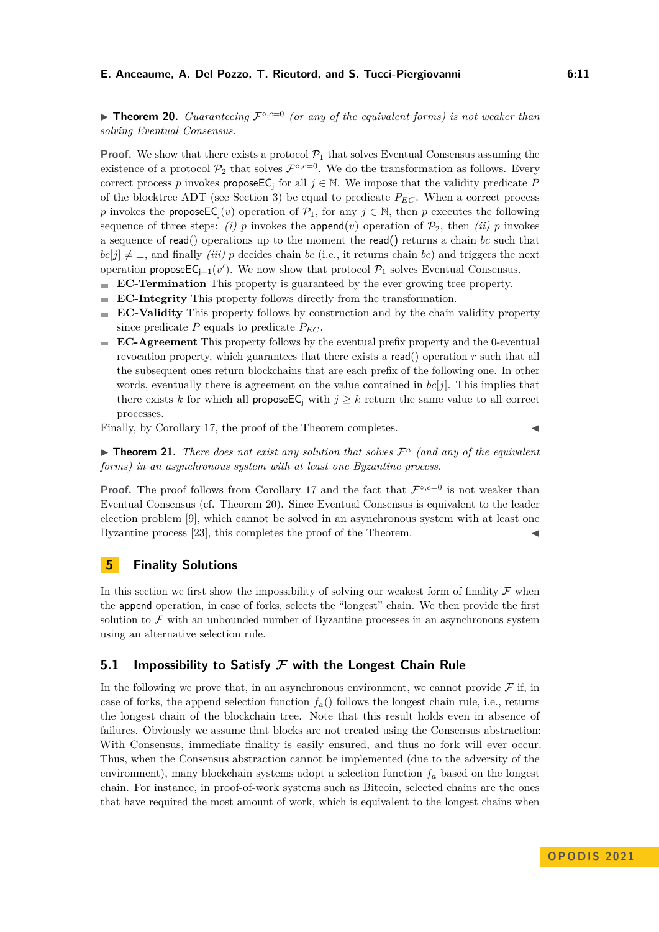**• Theorem 20.** *Guaranteeing*  $\mathcal{F}^{\diamond,c=0}$  *(or any of the equivalent forms) is not weaker than solving Eventual Consensus.*

**Proof.** We show that there exists a protocol  $P_1$  that solves Eventual Consensus assuming the existence of a protocol  $\mathcal{P}_2$  that solves  $\mathcal{F}^{\diamond,c=0}$ . We do the transformation as follows. Every correct process *p* invokes **propose**EC<sub>j</sub> for all  $j \in \mathbb{N}$ . We impose that the validity predicate *P* of the blocktree ADT (see Section [3\)](#page-3-1) be equal to predicate  $P_{EC}$ . When a correct process *p* invokes the **propose**EC<sub>i</sub>(*v*) operation of  $\mathcal{P}_1$ , for any  $j \in \mathbb{N}$ , then *p* executes the following sequence of three steps: *(i) p* invokes the append(*v*) operation of  $\mathcal{P}_2$ , then *(ii) p* invokes a sequence of read() operations up to the moment the read() returns a chain *bc* such that  $bc[j] \neq \perp$ , and finally *(iii) p* decides chain *bc* (i.e., it returns chain *bc*) and triggers the next operation propose  $\mathsf{EC}_{j+1}(v')$ . We now show that protocol  $\mathcal{P}_1$  solves Eventual Consensus.

- **EC-Termination** This property is guaranteed by the ever growing tree property.  $\overline{\phantom{a}}$
- **EC-Integrity** This property follows directly from the transformation.  $\mathbf{r}$
- **EC-Validity** This property follows by construction and by the chain validity property  $\overline{a}$ since predicate  $P$  equals to predicate  $P_{EC}$ .
- **EC-Agreement** This property follows by the eventual prefix property and the 0-eventual revocation property, which guarantees that there exists a read() operation *r* such that all the subsequent ones return blockchains that are each prefix of the following one. In other words, eventually there is agreement on the value contained in  $bc[j]$ . This implies that there exists *k* for which all **propose**EC<sub>i</sub> with  $j \geq k$  return the same value to all correct processes.

Finally, by Corollary [17,](#page-9-2) the proof of the Theorem completes.

 $\blacktriangleright$  **Theorem 21.** *There does not exist any solution that solves*  $\mathcal{F}^n$  *(and any of the equivalent forms) in an asynchronous system with at least one Byzantine process.*

**Proof.** The proof follows from Corollary [17](#page-9-2) and the fact that  $\mathcal{F}^{\diamond,c=0}$  is not weaker than Eventual Consensus (cf. Theorem [20\)](#page-9-3). Since Eventual Consensus is equivalent to the leader election problem [\[9\]](#page-15-18), which cannot be solved in an asynchronous system with at least one Byzantine process  $[23]$ , this completes the proof of the Theorem.

## <span id="page-10-0"></span>**5 Finality Solutions**

In this section we first show the impossibility of solving our weakest form of finality  $\mathcal F$  when the append operation, in case of forks, selects the "longest" chain. We then provide the first solution to  $\mathcal F$  with an unbounded number of Byzantine processes in an asynchronous system using an alternative selection rule.

# **5.1 Impossibility to Satisfy F with the Longest Chain Rule**

In the following we prove that, in an asynchronous environment, we cannot provide  $\mathcal F$  if, in case of forks, the append selection function  $f_a()$  follows the longest chain rule, i.e., returns the longest chain of the blockchain tree. Note that this result holds even in absence of failures. Obviously we assume that blocks are not created using the Consensus abstraction: With Consensus, immediate finality is easily ensured, and thus no fork will ever occur. Thus, when the Consensus abstraction cannot be implemented (due to the adversity of the environment), many blockchain systems adopt a selection function  $f_a$  based on the longest chain. For instance, in proof-of-work systems such as Bitcoin, selected chains are the ones that have required the most amount of work, which is equivalent to the longest chains when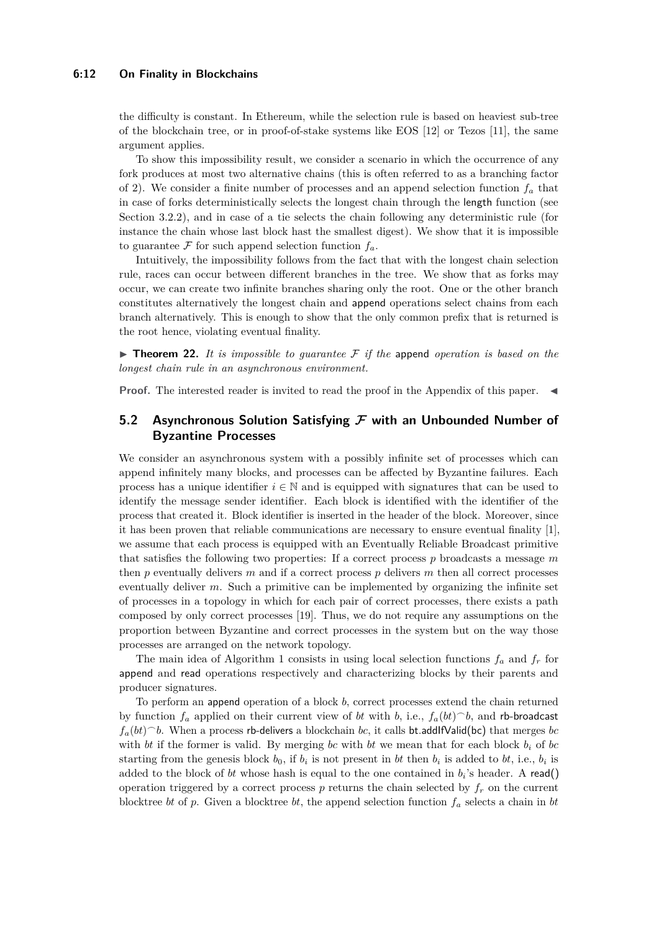#### **6:12 On Finality in Blockchains**

the difficulty is constant. In Ethereum, while the selection rule is based on heaviest sub-tree of the blockchain tree, or in proof-of-stake systems like EOS [\[12\]](#page-15-5) or Tezos [\[11\]](#page-15-20), the same argument applies.

To show this impossibility result, we consider a scenario in which the occurrence of any fork produces at most two alternative chains (this is often referred to as a branching factor of 2). We consider a finite number of processes and an append selection function *f<sup>a</sup>* that in case of forks deterministically selects the longest chain through the length function (see Section [3.2.2\)](#page-5-0), and in case of a tie selects the chain following any deterministic rule (for instance the chain whose last block hast the smallest digest). We show that it is impossible to guarantee  $\mathcal F$  for such append selection function  $f_a$ .

Intuitively, the impossibility follows from the fact that with the longest chain selection rule, races can occur between different branches in the tree. We show that as forks may occur, we can create two infinite branches sharing only the root. One or the other branch constitutes alternatively the longest chain and append operations select chains from each branch alternatively. This is enough to show that the only common prefix that is returned is the root hence, violating eventual finality.

<span id="page-11-0"></span> $\triangleright$  **Theorem 22.** It is impossible to guarantee F if the append operation is based on the *longest chain rule in an asynchronous environment.*

**Proof.** The interested reader is invited to read the proof in the Appendix of this paper.

# <span id="page-11-1"></span>**5.2 Asynchronous Solution Satisfying F with an Unbounded Number of Byzantine Processes**

We consider an asynchronous system with a possibly infinite set of processes which can append infinitely many blocks, and processes can be affected by Byzantine failures. Each process has a unique identifier  $i \in \mathbb{N}$  and is equipped with signatures that can be used to identify the message sender identifier. Each block is identified with the identifier of the process that created it. Block identifier is inserted in the header of the block. Moreover, since it has been proven that reliable communications are necessary to ensure eventual finality [\[1\]](#page-14-3), we assume that each process is equipped with an Eventually Reliable Broadcast primitive that satisfies the following two properties: If a correct process *p* broadcasts a message *m* then *p* eventually delivers *m* and if a correct process *p* delivers *m* then all correct processes eventually deliver *m*. Such a primitive can be implemented by organizing the infinite set of processes in a topology in which for each pair of correct processes, there exists a path composed by only correct processes [\[19\]](#page-15-21). Thus, we do not require any assumptions on the proportion between Byzantine and correct processes in the system but on the way those processes are arranged on the network topology.

The main idea of Algorithm 1 consists in using local selection functions  $f_a$  and  $f_r$  for append and read operations respectively and characterizing blocks by their parents and producer signatures.

To perform an append operation of a block *b*, correct processes extend the chain returned by function  $f_a$  applied on their current view of *bt* with *b*, i.e.,  $f_a(bt)$ <sup> $\hat{ }$ </sup>*b*, and rb-broadcast  $f_a(bt)^{-}b$ . When a process rb-delivers a blockchain *bc*, it calls bt.addIfValid(bc) that merges *bc* with *bt* if the former is valid. By merging *bc* with *bt* we mean that for each block  $b_i$  of *bc* starting from the genesis block  $b_0$ , if  $b_i$  is not present in *bt* then  $b_i$  is added to *bt*, i.e.,  $b_i$  is added to the block of *bt* whose hash is equal to the one contained in *b<sup>i</sup>* 's header. A read() operation triggered by a correct process  $p$  returns the chain selected by  $f_r$  on the current blocktree *bt* of *p*. Given a blocktree *bt*, the append selection function *f<sup>a</sup>* selects a chain in *bt*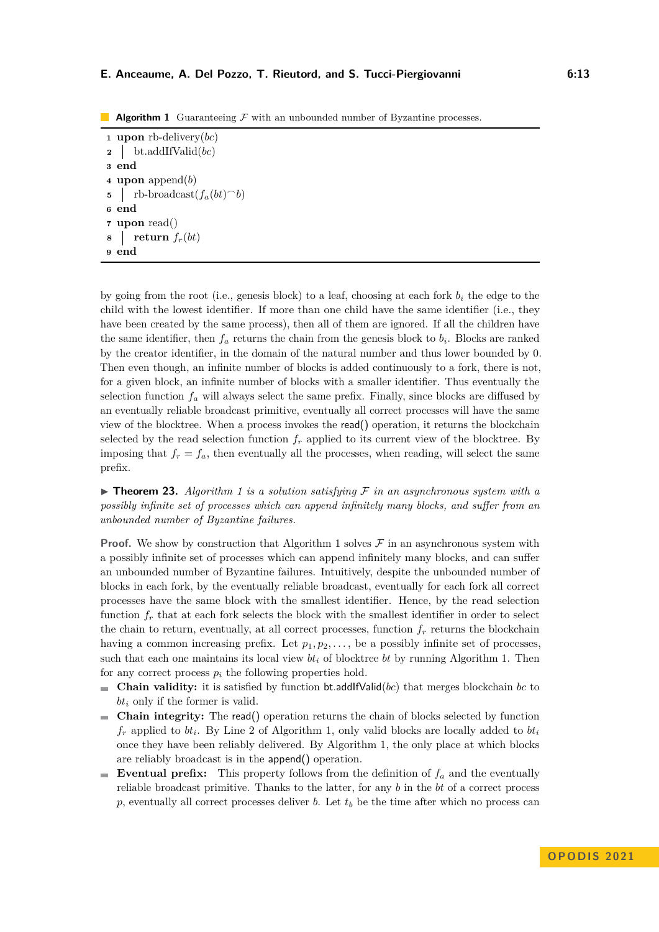**Algorithm 1** Guaranteeing F with an unbounded number of Byzantine processes.

**<sup>1</sup> upon** rb-delivery(*bc*) **<sup>2</sup>** bt.addIfValid(*bc*) **3 end <sup>4</sup> upon** append(*b*) **5** | rb-broadcast $(f_a(bt)^{\frown}b)$ **6 end <sup>7</sup> upon** read()  $\mathbf{s}$  **return**  $f_r(bt)$ **9 end**

by going from the root (i.e., genesis block) to a leaf, choosing at each fork *b<sup>i</sup>* the edge to the child with the lowest identifier. If more than one child have the same identifier (i.e., they have been created by the same process), then all of them are ignored. If all the children have the same identifier, then  $f_a$  returns the chain from the genesis block to  $b_i$ . Blocks are ranked by the creator identifier, in the domain of the natural number and thus lower bounded by 0. Then even though, an infinite number of blocks is added continuously to a fork, there is not, for a given block, an infinite number of blocks with a smaller identifier. Thus eventually the selection function  $f_a$  will always select the same prefix. Finally, since blocks are diffused by an eventually reliable broadcast primitive, eventually all correct processes will have the same view of the blocktree. When a process invokes the read() operation, it returns the blockchain selected by the read selection function  $f_r$  applied to its current view of the blocktree. By imposing that  $f_r = f_a$ , then eventually all the processes, when reading, will select the same prefix.

<span id="page-12-0"></span> $\triangleright$  **Theorem 23.** *Algorithm 1 is a solution satisfying*  $\mathcal F$  *in an asynchronous system with a possibly infinite set of processes which can append infinitely many blocks, and suffer from an unbounded number of Byzantine failures.*

**Proof.** We show by construction that Algorithm 1 solves  $\mathcal F$  in an asynchronous system with a possibly infinite set of processes which can append infinitely many blocks, and can suffer an unbounded number of Byzantine failures. Intuitively, despite the unbounded number of blocks in each fork, by the eventually reliable broadcast, eventually for each fork all correct processes have the same block with the smallest identifier. Hence, by the read selection function  $f_r$  that at each fork selects the block with the smallest identifier in order to select the chain to return, eventually, at all correct processes, function  $f<sub>r</sub>$  returns the blockchain having a common increasing prefix. Let  $p_1, p_2, \ldots$ , be a possibly infinite set of processes, such that each one maintains its local view  $bt_i$  of blocktree  $bt$  by running Algorithm 1. Then for any correct process  $p_i$  the following properties hold.

- **Chain validity:** it is satisfied by function bt.addlfValid( $bc$ ) that merges blockchain  $bc$  to *bt<sup>i</sup>* only if the former is valid.
- **Chain integrity:** The read() operation returns the chain of blocks selected by function  $f_r$  applied to  $bt_i$ . By Line 2 of Algorithm 1, only valid blocks are locally added to  $bt_i$ once they have been reliably delivered. By Algorithm 1, the only place at which blocks are reliably broadcast is in the append() operation.
- **Eventual prefix:** This property follows from the definition of  $f_a$  and the eventually reliable broadcast primitive. Thanks to the latter, for any *b* in the *bt* of a correct process *p*, eventually all correct processes deliver *b*. Let *t<sup>b</sup>* be the time after which no process can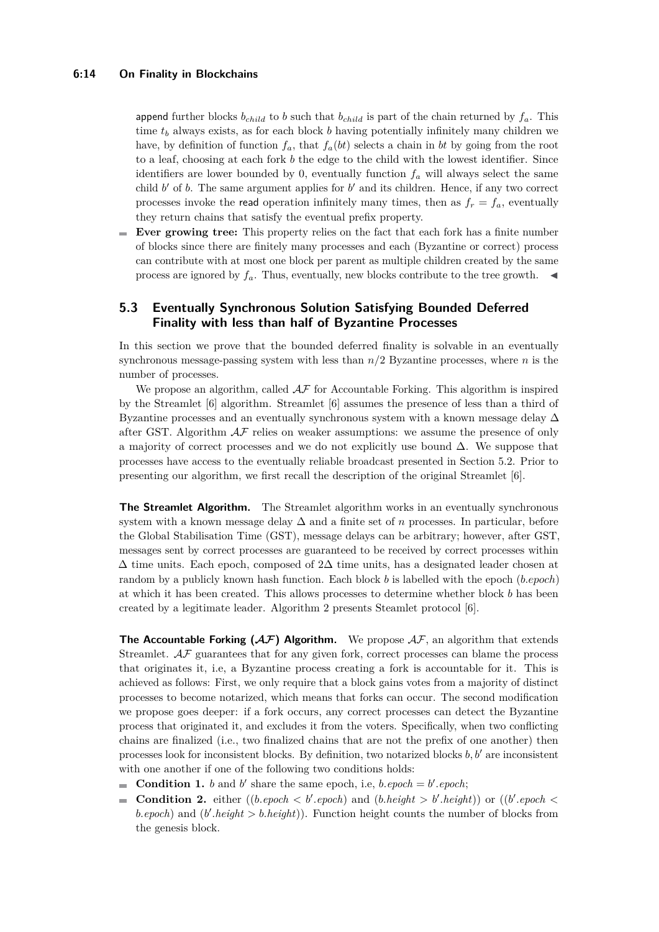append further blocks  $b_{child}$  to *b* such that  $b_{child}$  is part of the chain returned by  $f_a$ . This time *t<sup>b</sup>* always exists, as for each block *b* having potentially infinitely many children we have, by definition of function  $f_a$ , that  $f_a(bt)$  selects a chain in *bt* by going from the root to a leaf, choosing at each fork *b* the edge to the child with the lowest identifier. Since identifiers are lower bounded by 0, eventually function  $f_a$  will always select the same child  $b'$  of  $b$ . The same argument applies for  $b'$  and its children. Hence, if any two correct processes invoke the read operation infinitely many times, then as  $f_r = f_a$ , eventually they return chains that satisfy the eventual prefix property.

**Ever growing tree:** This property relies on the fact that each fork has a finite number of blocks since there are finitely many processes and each (Byzantine or correct) process can contribute with at most one block per parent as multiple children created by the same process are ignored by  $f_a$ . Thus, eventually, new blocks contribute to the tree growth.  $\blacktriangleleft$ 

# **5.3 Eventually Synchronous Solution Satisfying Bounded Deferred Finality with less than half of Byzantine Processes**

In this section we prove that the bounded deferred finality is solvable in an eventually synchronous message-passing system with less than *n/*2 Byzantine processes, where *n* is the number of processes.

We propose an algorithm, called  $\mathcal{AF}$  for Accountable Forking. This algorithm is inspired by the Streamlet [\[6\]](#page-15-22) algorithm. Streamlet [\[6\]](#page-15-22) assumes the presence of less than a third of Byzantine processes and an eventually synchronous system with a known message delay  $\Delta$ after GST. Algorithm  $\mathcal{AF}$  relies on weaker assumptions: we assume the presence of only a majority of correct processes and we do not explicitly use bound ∆. We suppose that processes have access to the eventually reliable broadcast presented in Section [5.2.](#page-11-1) Prior to presenting our algorithm, we first recall the description of the original Streamlet [\[6\]](#page-15-22).

**The Streamlet Algorithm.** The Streamlet algorithm works in an eventually synchronous system with a known message delay ∆ and a finite set of *n* processes. In particular, before the Global Stabilisation Time (GST), message delays can be arbitrary; however, after GST, messages sent by correct processes are guaranteed to be received by correct processes within  $\Delta$  time units. Each epoch, composed of 2 $\Delta$  time units, has a designated leader chosen at random by a publicly known hash function. Each block *b* is labelled with the epoch (*b.epoch*) at which it has been created. This allows processes to determine whether block *b* has been created by a legitimate leader. Algorithm [2](#page-14-4) presents Steamlet protocol [\[6\]](#page-15-22).

**The Accountable Forking (** $AF$ **) Algorithm.** We propose  $AF$ , an algorithm that extends Streamlet.  $A\mathcal{F}$  guarantees that for any given fork, correct processes can blame the process that originates it, i.e, a Byzantine process creating a fork is accountable for it. This is achieved as follows: First, we only require that a block gains votes from a majority of distinct processes to become notarized, which means that forks can occur. The second modification we propose goes deeper: if a fork occurs, any correct processes can detect the Byzantine process that originated it, and excludes it from the voters. Specifically, when two conflicting chains are finalized (i.e., two finalized chains that are not the prefix of one another) then processes look for inconsistent blocks. By definition, two notarized blocks *b, b*′ are inconsistent with one another if one of the following two conditions holds:

- **Condition 1.** *b* and *b*' share the same epoch, i.e, *b.epoch* = *b*'.*epoch*;
- **Condition 2.** either ((*b.epoch*  $\lt b'$ *.epoch*) and (*b.height*  $> b'$ *.height*)) or ((*b'.epoch*  $\lt$ *b.epoch*) and  $(b'.height > b. height)$ . Function height counts the number of blocks from the genesis block.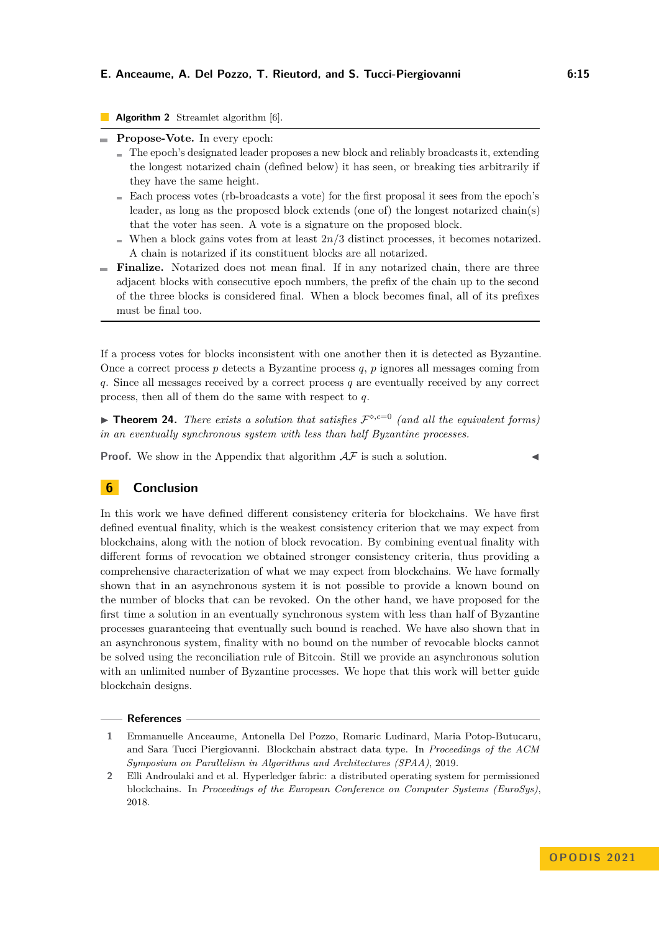## **Algorithm 2** Streamlet algorithm [\[6\]](#page-15-22).

- <span id="page-14-4"></span>**Propose-Vote.** In every epoch:
	- The epoch's designated leader proposes a new block and reliably broadcasts it, extending the longest notarized chain (defined below) it has seen, or breaking ties arbitrarily if they have the same height.
	- Each process votes (rb-broadcasts a vote) for the first proposal it sees from the epoch's leader, as long as the proposed block extends (one of) the longest notarized chain(s) that the voter has seen. A vote is a signature on the proposed block.
	- When a block gains votes from at least  $2n/3$  distinct processes, it becomes notarized. A chain is notarized if its constituent blocks are all notarized.
- **Finalize.** Notarized does not mean final. If in any notarized chain, there are three adjacent blocks with consecutive epoch numbers, the prefix of the chain up to the second of the three blocks is considered final. When a block becomes final, all of its prefixes must be final too.

If a process votes for blocks inconsistent with one another then it is detected as Byzantine. Once a correct process *p* detects a Byzantine process *q*, *p* ignores all messages coming from *q*. Since all messages received by a correct process *q* are eventually received by any correct process, then all of them do the same with respect to *q*.

<span id="page-14-1"></span>**• Theorem 24.** *There exists a solution that satisfies*  $\mathcal{F}^{\diamond,c=0}$  *(and all the equivalent forms) in an eventually synchronous system with less than half Byzantine processes.*

**Proof.** We show in the Appendix that algorithm  $\mathcal{AF}$  is such a solution.

# <span id="page-14-2"></span>**6 Conclusion**

In this work we have defined different consistency criteria for blockchains. We have first defined eventual finality, which is the weakest consistency criterion that we may expect from blockchains, along with the notion of block revocation. By combining eventual finality with different forms of revocation we obtained stronger consistency criteria, thus providing a comprehensive characterization of what we may expect from blockchains. We have formally shown that in an asynchronous system it is not possible to provide a known bound on the number of blocks that can be revoked. On the other hand, we have proposed for the first time a solution in an eventually synchronous system with less than half of Byzantine processes guaranteeing that eventually such bound is reached. We have also shown that in an asynchronous system, finality with no bound on the number of revocable blocks cannot be solved using the reconciliation rule of Bitcoin. Still we provide an asynchronous solution with an unlimited number of Byzantine processes. We hope that this work will better guide blockchain designs.

## **References**

<span id="page-14-3"></span>**1** Emmanuelle Anceaume, Antonella Del Pozzo, Romaric Ludinard, Maria Potop-Butucaru, and Sara Tucci Piergiovanni. Blockchain abstract data type. In *Proceedings of the ACM Symposium on Parallelism in Algorithms and Architectures (SPAA)*, 2019.

<span id="page-14-0"></span>**<sup>2</sup>** Elli Androulaki and et al. Hyperledger fabric: a distributed operating system for permissioned blockchains. In *Proceedings of the European Conference on Computer Systems (EuroSys)*, 2018.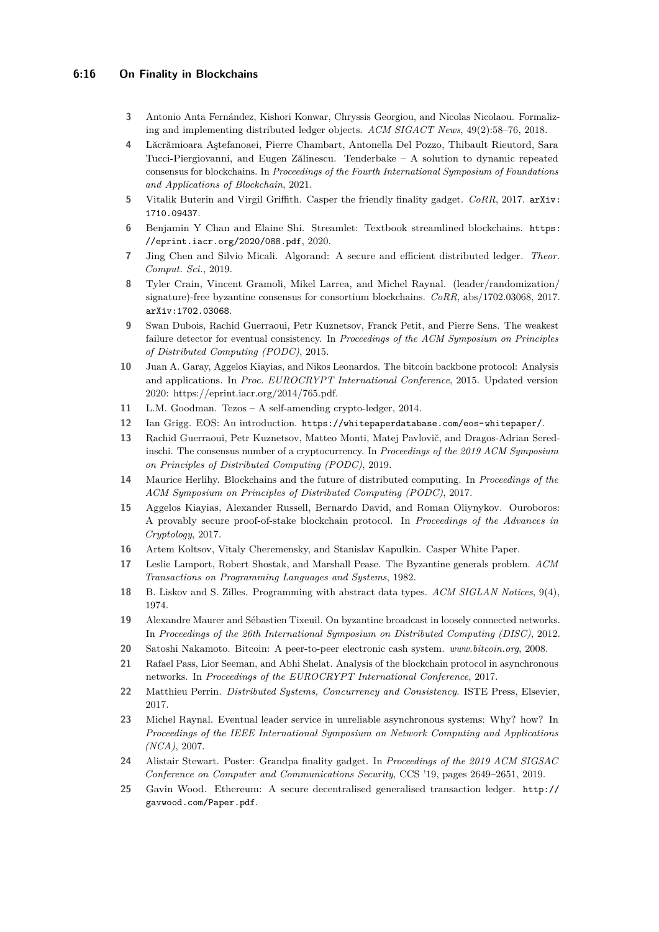## **6:16 On Finality in Blockchains**

- <span id="page-15-13"></span>**3** Antonio Anta Fernández, Kishori Konwar, Chryssis Georgiou, and Nicolas Nicolaou. Formalizing and implementing distributed ledger objects. *ACM SIGACT News*, 49(2):58–76, 2018.
- <span id="page-15-9"></span>**4** Lăcrămioara Aştefanoaei, Pierre Chambart, Antonella Del Pozzo, Thibault Rieutord, Sara Tucci-Piergiovanni, and Eugen Zălinescu. Tenderbake – A solution to dynamic repeated consensus for blockchains. In *Proceedings of the Fourth International Symposium of Foundations and Applications of Blockchain*, 2021.
- <span id="page-15-7"></span>**5** Vitalik Buterin and Virgil Griffith. Casper the friendly finality gadget. *CoRR*, 2017. [arXiv:](http://arxiv.org/abs/1710.09437) [1710.09437](http://arxiv.org/abs/1710.09437).
- <span id="page-15-22"></span>**6** Benjamin Y Chan and Elaine Shi. Streamlet: Textbook streamlined blockchains. [https:](https://eprint.iacr.org/2020/088.pdf) [//eprint.iacr.org/2020/088.pdf](https://eprint.iacr.org/2020/088.pdf), 2020.
- <span id="page-15-1"></span>**7** Jing Chen and Silvio Micali. Algorand: A secure and efficient distributed ledger. *Theor. Comput. Sci.*, 2019.
- <span id="page-15-0"></span>**8** Tyler Crain, Vincent Gramoli, Mikel Larrea, and Michel Raynal. (leader/randomization/ signature)-free byzantine consensus for consortium blockchains. *CoRR*, abs/1702.03068, 2017. [arXiv:1702.03068](http://arxiv.org/abs/1702.03068).
- <span id="page-15-18"></span>**9** Swan Dubois, Rachid Guerraoui, Petr Kuznetsov, Franck Petit, and Pierre Sens. The weakest failure detector for eventual consistency. In *Proceedings of the ACM Symposium on Principles of Distributed Computing (PODC)*, 2015.
- <span id="page-15-11"></span>**10** Juan A. Garay, Aggelos Kiayias, and Nikos Leonardos. The bitcoin backbone protocol: Analysis and applications. In *Proc. EUROCRYPT International Conference*, 2015. Updated version 2020: https://eprint.iacr.org/2014/765.pdf.
- <span id="page-15-20"></span>**11** L.M. Goodman. Tezos – A self-amending crypto-ledger, 2014.
- <span id="page-15-5"></span>**12** Ian Grigg. EOS: An introduction. <https://whitepaperdatabase.com/eos-whitepaper/>.
- <span id="page-15-14"></span>**13** Rachid Guerraoui, Petr Kuznetsov, Matteo Monti, Matej Pavlovič, and Dragos-Adrian Seredinschi. The consensus number of a cryptocurrency. In *Proceedings of the 2019 ACM Symposium on Principles of Distributed Computing (PODC)*, 2019.
- <span id="page-15-10"></span>**14** Maurice Herlihy. Blockchains and the future of distributed computing. In *Proceedings of the ACM Symposium on Principles of Distributed Computing (PODC)*, 2017.
- <span id="page-15-6"></span>**15** Aggelos Kiayias, Alexander Russell, Bernardo David, and Roman Oliynykov. Ouroboros: A provably secure proof-of-stake blockchain protocol. In *Proceedings of the Advances in Cryptology*, 2017.
- <span id="page-15-4"></span>**16** Artem Koltsov, Vitaly Cheremensky, and Stanislav Kapulkin. Casper White Paper.
- <span id="page-15-17"></span>**17** Leslie Lamport, Robert Shostak, and Marshall Pease. The Byzantine generals problem. *ACM Transactions on Programming Languages and Systems*, 1982.
- <span id="page-15-15"></span>**18** B. Liskov and S. Zilles. Programming with abstract data types. *ACM SIGLAN Notices*, 9(4), 1974.
- <span id="page-15-21"></span>**19** Alexandre Maurer and Sébastien Tixeuil. On byzantine broadcast in loosely connected networks. In *Proceedings of the 26th International Symposium on Distributed Computing (DISC)*, 2012.
- <span id="page-15-2"></span>**20** Satoshi Nakamoto. Bitcoin: A peer-to-peer electronic cash system. *www.bitcoin.org*, 2008.
- <span id="page-15-12"></span>**21** Rafael Pass, Lior Seeman, and Abhi Shelat. Analysis of the blockchain protocol in asynchronous networks. In *Proceedings of the EUROCRYPT International Conference*, 2017.
- <span id="page-15-16"></span>**22** Matthieu Perrin. *Distributed Systems, Concurrency and Consistency*. ISTE Press, Elsevier, 2017.
- <span id="page-15-19"></span>**23** Michel Raynal. Eventual leader service in unreliable asynchronous systems: Why? how? In *Proceedings of the IEEE International Symposium on Network Computing and Applications (NCA)*, 2007.
- <span id="page-15-8"></span>**24** Alistair Stewart. Poster: Grandpa finality gadget. In *Proceedings of the 2019 ACM SIGSAC Conference on Computer and Communications Security*, CCS '19, pages 2649–2651, 2019.
- <span id="page-15-3"></span>**25** Gavin Wood. Ethereum: A secure decentralised generalised transaction ledger. [http://](http://gavwood.com/Paper.pdf) [gavwood.com/Paper.pdf](http://gavwood.com/Paper.pdf).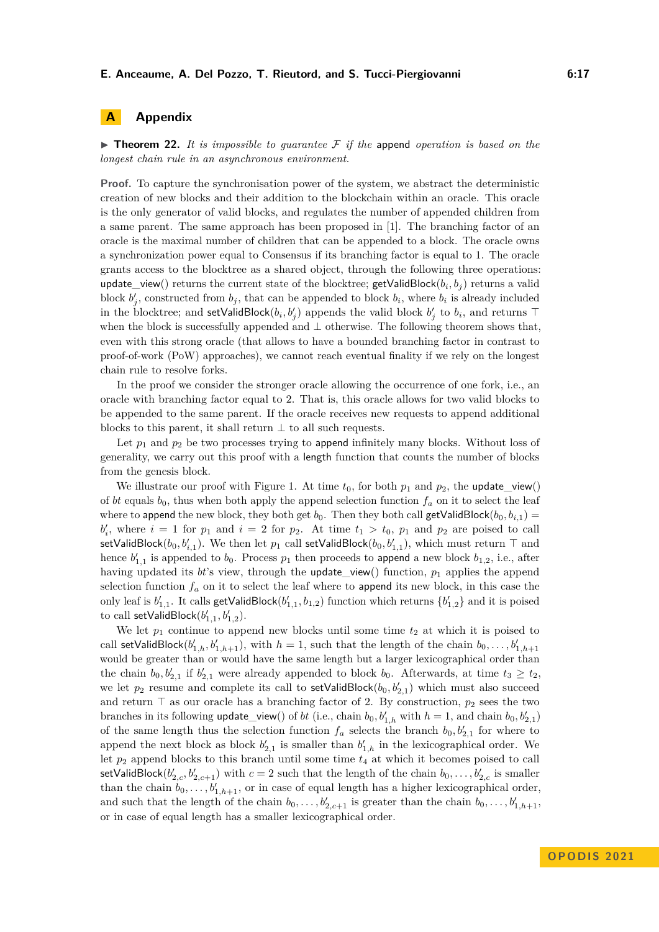# **A Appendix**

 $\triangleright$  **Theorem 22.** It is impossible to quarantee F if the append operation is based on the *longest chain rule in an asynchronous environment.*

**Proof.** To capture the synchronisation power of the system, we abstract the deterministic creation of new blocks and their addition to the blockchain within an oracle. This oracle is the only generator of valid blocks, and regulates the number of appended children from a same parent. The same approach has been proposed in [\[1\]](#page-14-3). The branching factor of an oracle is the maximal number of children that can be appended to a block. The oracle owns a synchronization power equal to Consensus if its branching factor is equal to 1. The oracle grants access to the blocktree as a shared object, through the following three operations:  $\mathsf{update\_view}()$  returns the current state of the blocktree;  $\mathsf{getValidBlock}(b_i, b_j)$  returns a valid block  $b'_{j}$ , constructed from  $b_{j}$ , that can be appended to block  $b_{i}$ , where  $b_{i}$  is already included in the blocktree; and setValidBlock $(b_i, b'_j)$  appends the valid block  $b'_j$  to  $b_i$ , and returns ⊤ when the block is successfully appended and ⊥ otherwise. The following theorem shows that, even with this strong oracle (that allows to have a bounded branching factor in contrast to proof-of-work (PoW) approaches), we cannot reach eventual finality if we rely on the longest chain rule to resolve forks.

In the proof we consider the stronger oracle allowing the occurrence of one fork, i.e., an oracle with branching factor equal to 2. That is, this oracle allows for two valid blocks to be appended to the same parent. If the oracle receives new requests to append additional blocks to this parent, it shall return  $\perp$  to all such requests.

Let  $p_1$  and  $p_2$  be two processes trying to append infinitely many blocks. Without loss of generality, we carry out this proof with a length function that counts the number of blocks from the genesis block.

We illustrate our proof with Figure [1.](#page-17-0) At time  $t_0$ , for both  $p_1$  and  $p_2$ , the update\_view() of *bt* equals  $b_0$ , thus when both apply the append selection function  $f_a$  on it to select the leaf where to append the new block, they both get  $b_0$ . Then they both call getValidBlock $(b_0, b_{i,1})$  =  $b'_i$ , where  $i = 1$  for  $p_1$  and  $i = 2$  for  $p_2$ . At time  $t_1 > t_0$ ,  $p_1$  and  $p_2$  are poised to call  $\mathsf{setValidBlock}(b_0, b'_{i,1})$ . We then let  $p_1$  call  $\mathsf{setValidBlock}(b_0, b'_{1,1})$ , which must return  $\top$  and hence  $b'_{1,1}$  is appended to  $b_0$ . Process  $p_1$  then proceeds to append a new block  $b_{1,2}$ , i.e., after having updated its *bt*'s view, through the update\_view() function, *p*<sup>1</sup> applies the append selection function  $f_a$  on it to select the leaf where to append its new block, in this case the only leaf is  $b'_{1,1}$ . It calls  $\text{getValidBlock}(b'_{1,1}, b_{1,2})$  function which returns  $\{b'_{1,2}\}$  and it is poised to call setValidBlock $(b'_{1,1}, b'_{1,2})$ .

We let  $p_1$  continue to append new blocks until some time  $t_2$  at which it is poised to call setValidBlock $(b'_{1,h}, b'_{1,h+1})$ , with  $h = 1$ , such that the length of the chain  $b_0, \ldots, b'_{1,h+1}$ would be greater than or would have the same length but a larger lexicographical order than the chain  $b_0, b'_{2,1}$  if  $b'_{2,1}$  were already appended to block  $b_0$ . Afterwards, at time  $t_3 \ge t_2$ , we let  $p_2$  resume and complete its call to  $setValidBlock(b_0, b'_{2,1})$  which must also succeed and return ⊤ as our oracle has a branching factor of 2. By construction, *p*<sup>2</sup> sees the two branches in its following  $update\_view()$  of *bt* (i.e., chain  $b_0, b'_{1,h}$  with  $h = 1$ , and chain  $b_0, b'_{2,1}$ ) of the same length thus the selection function  $f_a$  selects the branch  $b_0, b'_{2,1}$  for where to append the next block as block  $b'_{2,1}$  is smaller than  $b'_{1,h}$  in the lexicographical order. We let *p*<sup>2</sup> append blocks to this branch until some time *t*<sup>4</sup> at which it becomes poised to call  $\textsf{setValidBlock}(b'_{2,c}, b'_{2,c+1})$  with  $c = 2$  such that the length of the chain  $b_0, \ldots, b'_{2,c}$  is smaller than the chain  $b_0, \ldots, b'_{1,h+1}$ , or in case of equal length has a higher lexicographical order, and such that the length of the chain  $b_0, \ldots, b'_{2,c+1}$  is greater than the chain  $b_0, \ldots, b'_{1,h+1}$ , or in case of equal length has a smaller lexicographical order.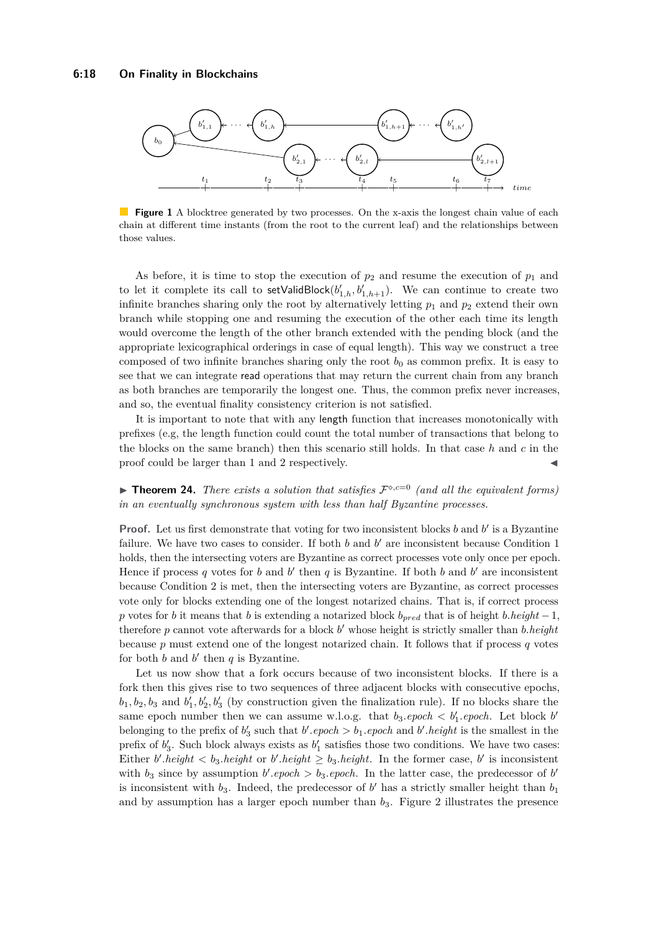<span id="page-17-0"></span>

**Figure 1** A blocktree generated by two processes. On the x-axis the longest chain value of each chain at different time instants (from the root to the current leaf) and the relationships between those values.

As before, it is time to stop the execution of  $p_2$  and resume the execution of  $p_1$  and to let it complete its call to  $set$ ValidBlock $(b'_{1,h}, b'_{1,h+1})$ . We can continue to create two infinite branches sharing only the root by alternatively letting  $p_1$  and  $p_2$  extend their own branch while stopping one and resuming the execution of the other each time its length would overcome the length of the other branch extended with the pending block (and the appropriate lexicographical orderings in case of equal length). This way we construct a tree composed of two infinite branches sharing only the root  $b_0$  as common prefix. It is easy to see that we can integrate read operations that may return the current chain from any branch as both branches are temporarily the longest one. Thus, the common prefix never increases, and so, the eventual finality consistency criterion is not satisfied.

It is important to note that with any length function that increases monotonically with prefixes (e.g, the length function could count the total number of transactions that belong to the blocks on the same branch) then this scenario still holds. In that case *h* and *c* in the proof could be larger than 1 and 2 respectively.

**• Theorem 24.** *There exists a solution that satisfies*  $\mathcal{F}^{\diamond,c=0}$  *(and all the equivalent forms) in an eventually synchronous system with less than half Byzantine processes.*

**Proof.** Let us first demonstrate that voting for two inconsistent blocks *b* and *b*' is a Byzantine failure. We have two cases to consider. If both  $b$  and  $b'$  are inconsistent because Condition 1 holds, then the intersecting voters are Byzantine as correct processes vote only once per epoch. Hence if process q votes for b and b' then q is Byzantine. If both b and b' are inconsistent because Condition 2 is met, then the intersecting voters are Byzantine, as correct processes vote only for blocks extending one of the longest notarized chains. That is, if correct process *p* votes for *b* it means that *b* is extending a notarized block *bpred* that is of height *b.height* − 1, therefore *p* cannot vote afterwards for a block *b* ′ whose height is strictly smaller than *b.height* because *p* must extend one of the longest notarized chain. It follows that if process *q* votes for both  $b$  and  $b'$  then  $q$  is Byzantine.

Let us now show that a fork occurs because of two inconsistent blocks. If there is a fork then this gives rise to two sequences of three adjacent blocks with consecutive epochs,  $b_1, b_2, b_3$  and  $b'_1, b'_2, b'_3$  (by construction given the finalization rule). If no blocks share the same epoch number then we can assume w.l.o.g. that  $b_3.\text{epoch} < b'_1.\text{epoch}$ . Let block  $b'$ belonging to the prefix of  $b'_3$  such that  $b'$ . *epoch*  $> b_1$ . *epoch* and  $b'$ . *height* is the smallest in the prefix of  $b'_3$ . Such block always exists as  $b'_1$  satisfies those two conditions. We have two cases: Either *b*'.*height*  $\lt b_3$ .*height* or *b*'.*height*  $\geq b_3$ .*height*. In the former case, *b*' is inconsistent with  $b_3$  since by assumption  $b'$ .*epoch* >  $b_3$ .*epoch*. In the latter case, the predecessor of  $b'$ is inconsistent with  $b_3$ . Indeed, the predecessor of  $b'$  has a strictly smaller height than  $b_1$ and by assumption has a larger epoch number than  $b_3$ . Figure [2](#page-18-0) illustrates the presence